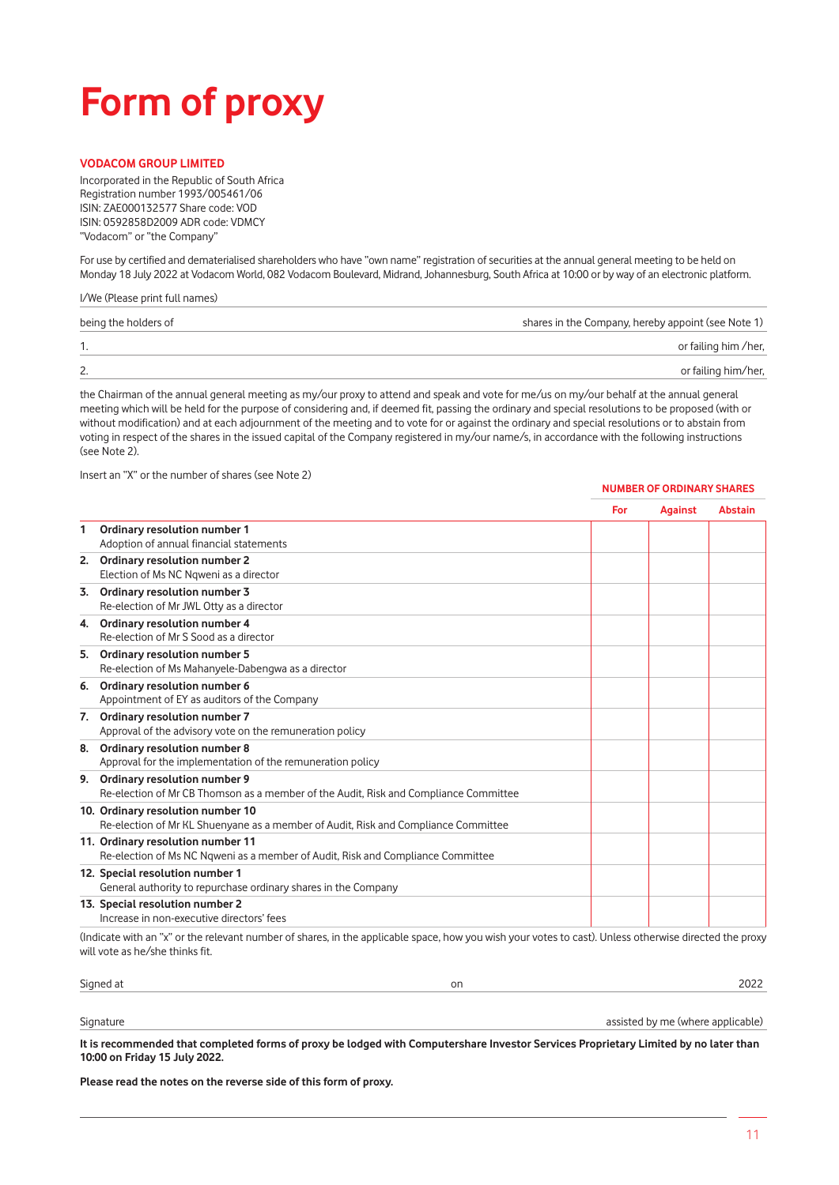## **Form of proxy**

### **VODACOM GROUP LIMITED**

Incorporated in the Republic of South Africa Registration number 1993/005461/06 ISIN: ZAE000132577 Share code: VOD ISIN: 0592858D2009 ADR code: VDMCY "Vodacom" or "the Company"

For use by certified and dematerialised shareholders who have "own name" registration of securities at the annual general meeting to be held on Monday 18 July 2022 at Vodacom World, 082 Vodacom Boulevard, Midrand, Johannesburg, South Africa at 10:00 or by way of an electronic platform.

#### I/We (Please print full names)

| shares in the Company, hereby appoint (see Note 1)<br>being the holders of |                      |
|----------------------------------------------------------------------------|----------------------|
|                                                                            | or failing him /her, |
| 2.                                                                         | or failing him/her,  |

the Chairman of the annual general meeting as my/our proxy to attend and speak and vote for me/us on my/our behalf at the annual general meeting which will be held for the purpose of considering and, if deemed fit, passing the ordinary and special resolutions to be proposed (with or without modification) and at each adjournment of the meeting and to vote for or against the ordinary and special resolutions or to abstain from voting in respect of the shares in the issued capital of the Company registered in my/our name/s, in accordance with the following instructions (see Note 2).

Insert an "X" or the number of shares (see Note 2)

#### **NUMBER OF ORDINARY SHARES**

|    |                                                                                                                                                        | For | <b>Against</b> | <b>Abstain</b> |
|----|--------------------------------------------------------------------------------------------------------------------------------------------------------|-----|----------------|----------------|
| 1  | Ordinary resolution number 1                                                                                                                           |     |                |                |
|    | Adoption of annual financial statements                                                                                                                |     |                |                |
|    | 2. Ordinary resolution number 2<br>Election of Ms NC Ngweni as a director                                                                              |     |                |                |
| 3. | Ordinary resolution number 3<br>Re-election of Mr JWL Otty as a director                                                                               |     |                |                |
| 4. | Ordinary resolution number 4<br>Re-election of Mr S Sood as a director                                                                                 |     |                |                |
|    | 5. Ordinary resolution number 5<br>Re-election of Ms Mahanyele-Dabengwa as a director                                                                  |     |                |                |
| 6. | Ordinary resolution number 6<br>Appointment of EY as auditors of the Company                                                                           |     |                |                |
| 7. | Ordinary resolution number 7<br>Approval of the advisory vote on the remuneration policy                                                               |     |                |                |
| 8. | Ordinary resolution number 8<br>Approval for the implementation of the remuneration policy                                                             |     |                |                |
| 9. | Ordinary resolution number 9<br>Re-election of Mr CB Thomson as a member of the Audit, Risk and Compliance Committee                                   |     |                |                |
|    | 10. Ordinary resolution number 10<br>Re-election of Mr KL Shuenyane as a member of Audit, Risk and Compliance Committee                                |     |                |                |
|    | 11. Ordinary resolution number 11<br>Re-election of Ms NC Ngweni as a member of Audit, Risk and Compliance Committee                                   |     |                |                |
|    | 12. Special resolution number 1<br>General authority to repurchase ordinary shares in the Company                                                      |     |                |                |
|    | 13. Special resolution number 2<br>Increase in non-executive directors' fees                                                                           |     |                |                |
|    | (Indicate with an "x" or the relevant number of shares, in the applicable space, how you wish your votes to cast). Unless otherwise directed the proxy |     |                |                |

(Indicate with an "x" or the relevant number of shares, in the applicable space, how you wish your votes to cast). Unless otherwise directed the proxy will vote as he/she thinks fit.

| Signed at | vı |  |
|-----------|----|--|
|           |    |  |

Signature assisted by me (where applicable) assisted by me (where applicable)

**It is recommended that completed forms of proxy be lodged with Computershare Investor Services Proprietary Limited by no later than 10:00 on Friday 15 July 2022.**

**Please read the notes on the reverse side of this form of proxy.**